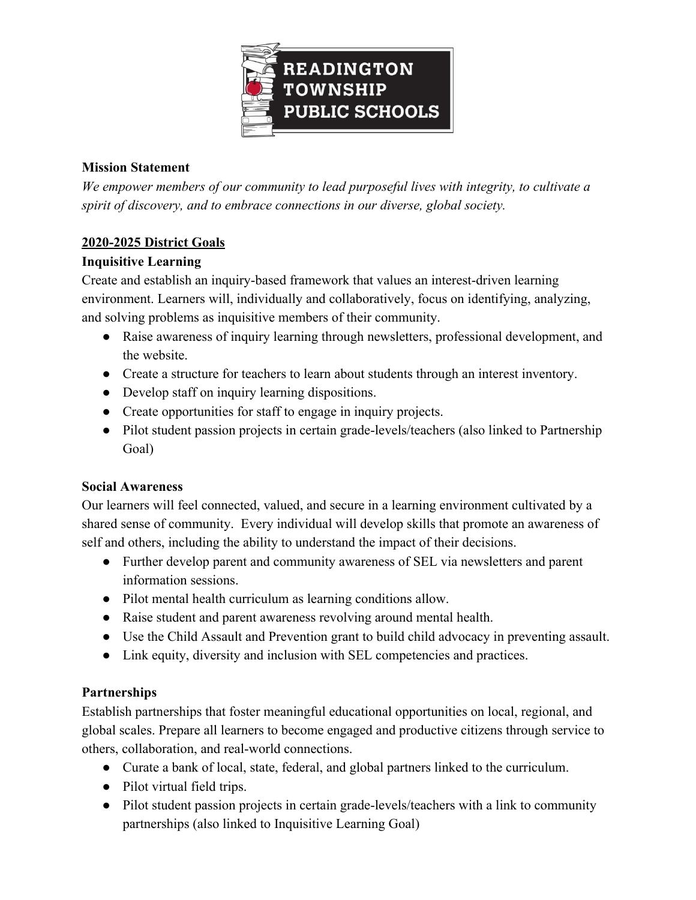

### **Mission Statement**

*We empower members of our community to lead purposeful lives with integrity, to cultivate a spirit of discovery, and to embrace connections in our diverse, global society.*

## **2020-2025 District Goals**

## **Inquisitive Learning**

Create and establish an inquiry-based framework that values an interest-driven learning environment. Learners will, individually and collaboratively, focus on identifying, analyzing, and solving problems as inquisitive members of their community.

- Raise awareness of inquiry learning through newsletters, professional development, and the website.
- Create a structure for teachers to learn about students through an interest inventory.
- Develop staff on inquiry learning dispositions.
- Create opportunities for staff to engage in inquiry projects.
- Pilot student passion projects in certain grade-levels/teachers (also linked to Partnership Goal)

#### **Social Awareness**

Our learners will feel connected, valued, and secure in a learning environment cultivated by a shared sense of community. Every individual will develop skills that promote an awareness of self and others, including the ability to understand the impact of their decisions.

- Further develop parent and community awareness of SEL via newsletters and parent information sessions.
- Pilot mental health curriculum as learning conditions allow.
- Raise student and parent awareness revolving around mental health.
- Use the Child Assault and Prevention grant to build child advocacy in preventing assault.
- Link equity, diversity and inclusion with SEL competencies and practices.

# **Partnerships**

Establish partnerships that foster meaningful educational opportunities on local, regional, and global scales. Prepare all learners to become engaged and productive citizens through service to others, collaboration, and real-world connections.

- Curate a bank of local, state, federal, and global partners linked to the curriculum.
- Pilot virtual field trips.
- Pilot student passion projects in certain grade-levels/teachers with a link to community partnerships (also linked to Inquisitive Learning Goal)